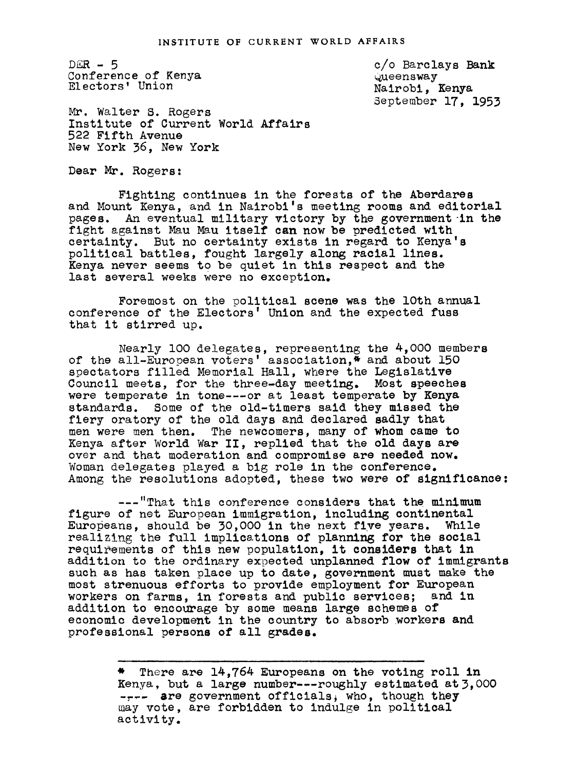$DER - 5$ Conference of Kenya Electors' Union

c/o Barclays Bank ueensway Nairobi, Kenya September 17, 1953

Mr. Walter S. Rogers Institute of Current World Affairs 522 Fifth Avenue New York 36, New York

Dear Mr. Rogers:

Fighting continues in the forests of the Aberdares and Mount Kenya, and in Nairobi's meeting rooms and editorial pages. An eventual military victory by the government-in the fight against Mau Mau itself can now be predicted with certainty. But no certainty exists in regard to Kenya's political battles, fought largely along racial lines. Kenya never seems to be quiet in this respect and the last several weeks were no exception.

Foremost on the political scene was the lOth annual conference of the Electors' Union and the expected fuss that it stirred up.

Nearly lO0 delegates, representing the 4,000 members of the all-European voters' association,\* and about 150 spectators filled Memorial Hall, where the Legislative Council meets, for the three-day meeting. Most speeches were temperate in tone---or at least temperate by Kenya standards. Some of the old-timers said they missed the fiery oratory of the old days and declared sadly that men were men then. The newcomers, many of whom came to Kenya after World War II, replied that the old days are over and that moderation and compromise are needed now. Woman delegates played a big role in the conference. Among the resolutions adopted, these two were of significance:

---"That this conference considers that the minimum figure of net European immigration, including continental Europeans, should be 30,000 in the next five years. While realizing the full implications of planning for the social requirements of this new population, it considers that in addition to the ordinary expected unplanned flow of immigrants such as has taken place up to date, government must make the most strenuous efforts to provide employment for European workers on farms, in forests and public services; and in addition to encourage by some means large schemes of economic development in the country to absorb workers and professional persons of all grades.

> \* There are 14,764 Europeans on the voting roll in Kenya, but a large number---roughly estimated at 3,000 ---- are government officials, who, though they may vote, are forbidden to indulge in political activity.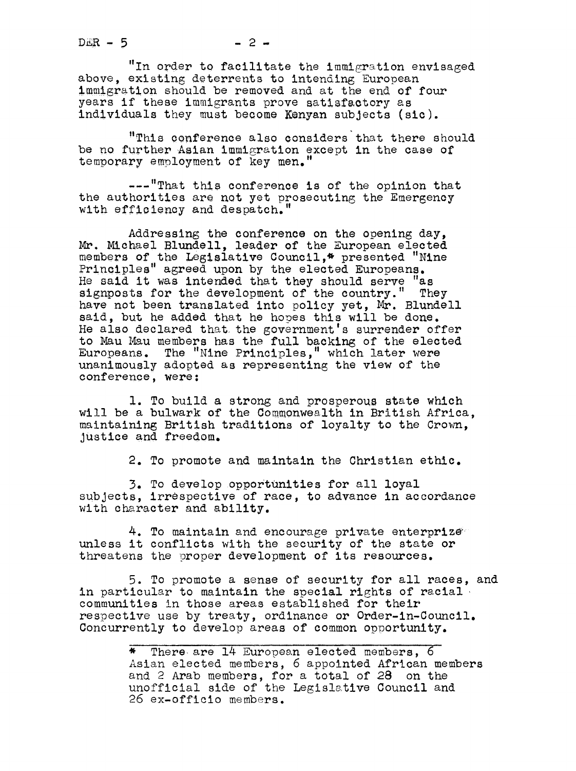$DER - 5$ 

"In order to facilitate the immigration envisaged above, existing deterrents to intending European immigration should be removed and at the end of four years if these immigrants prove satisfactory as individuals they must become Kenyan subjects (sic).

"This Conference also considers that there should be no further Asian immigration except in the case of temporary employment of key men.'

---"That this conference is of the opinion that the authorities are not yet prosecuting the Emergency with efficiency and despatch."

Addressing the conference on the opening day, Mr. Michael Blundell, leader of the European elected members of the Legislative Council,\* presented "Nine Principles" agreed upon by the elected Europeans. He said it was intended that they should serve "as signposts for the development of the country." They have not been translated into policy yet, Mr. Blundell said, but he added that he hopes this will be done. He also declared that. the government's surrender offer to Mau Mau members has the full backing of the elected Europeans. The "Nine Principles," which later were unanimously adopted as representing the view of the conference, were:

1. To build a strong and prosperous state which will be a bulwark of the Commonwealth in British Africa, maintaining. British traditions of loyalty to the Crown, Justice and freedom.

2. To promote and maintain the Christian ethic.

3. To develop opportUnities for all loyal subjects, irrespective of race, to advance in accordance with character and ability.

4. To maintain and encourage private enterprize unless it conflicts with the security of the state or threatens the proper development of its resources.

5. To promote a sense of security for all races, and in particular to maintain the special rights of racial communities in those areas established for their respective use by treaty, ordinance or Order-in-Council. Concurrently to develop areas of common opoortunlty.

> \* There, are 14 European elected members, <sup>6</sup> Asian elected members, 6 appointed African members and 2 Arab members, for a total of 28 on the unofficial side of the Legislative Council and 26 ex-officio members.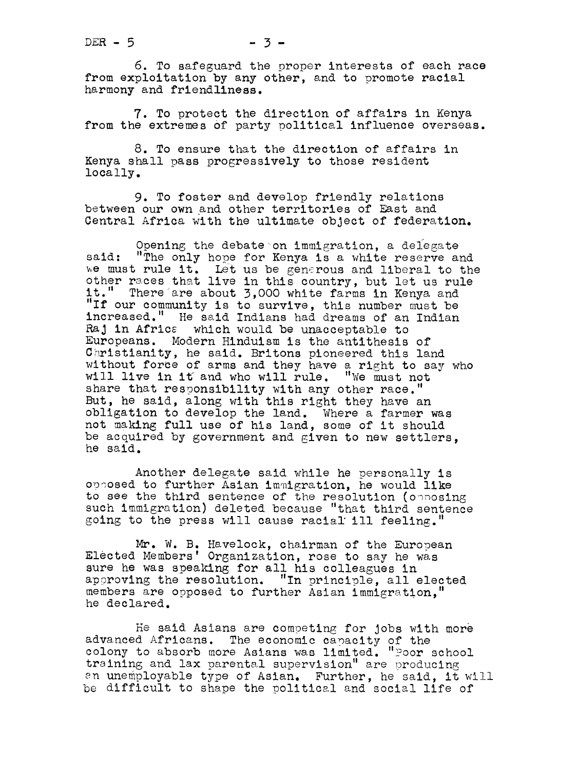6. To safeguard the proper interests of each race from exploitation by any other, and to promote racial harmony and friendliness.

7. To protect the direction of affairs in Kenya from the extremes of party political influence overseas.

8. To ensure that the direction of affairs in Kenya shall pass progressively to those resident locally.

9. To foster and develop friendly relations btween our own and other territories of East and Central Africa with the ultimate object of federation.

Opening the debate on immigration, a delegate said: "The only hope for Kenya is a white reserve and we must rule it. Let us be generous and liberal to the other races that live in this country, but let us rule it." There are about 3,000 white farms in Kenya and "If our community is to survive, this number must be increased." He ssid Indians had dreams of an Indian Raj in Africa which would be unacceptable to Europeans. Modern Hinduism is the antithesis of Christianity, he said. Britons pioneered this land without force of arms and they have a right to say who will live in it and who will rule. "We must not share that responsibility with any other race. But, he said, along with this right they have an obligation to develop the land. Where a farmer was not making full use of his land, some of it should be acquired by government and given to new settlers, he said.

Another delegate said while he personally is opposed to further Asian immigration, he would like to see the third sentence of the resolution (opposing such immigration) deleted because "that third sentence going to the press will cause racial ill feeling."

Mr. W. B. Havelock, chairman of the European Elected Members' Organization, rose to say he was sure he was speaking for all his colleagues in approving the resolution. "In principle, all elected members are opposed to further Asian immigration, he declared.

He said Asians are competing for Jobs with mor advanced Africans. The economic capacity of the colony to absorb more Asians was limited. "Poor school training and lax parental supervision" are producing an unemployable type of Asian. Further, he said, it will be difficult to shape the political and social life of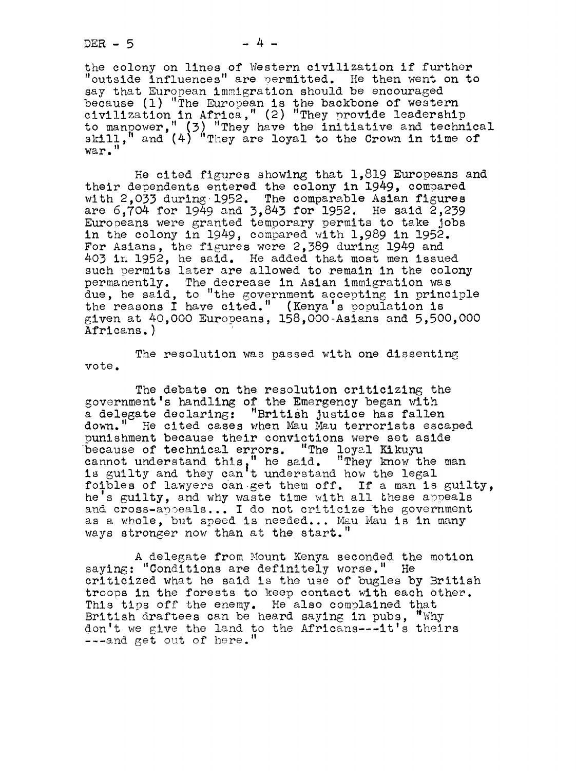the colony on lines of Western civilization if further "outside influences" are permitted. He then went on to<br>say that European immigration should be encouraged say that European immigration should be encouraged because (1) "The European is the backbone of western civilization in Africa, " (2) "They provide 18adership to manpower," (3) "They have the initiative and technical<br>skill," and (4) "They are loyal to the Crown in time of war."

He cited figures showing that 1,819 Europeans and their dependents entered the colony in 1949, compared with 2,033 during 1952. The comparable Asian figures are 6,704 for 1949 and 3,843 for 1952. He said 2,239 Europeans were granted temporary permits to take Jobs in the colony in 1949, compared with 1,989 in 1952. For Asians, the figures were 2,389 during 1949 and 403 ir 1952, he said. He added that most men issued such permits later are allowed to remain in the colony permanently. The decrease in Asian immigration was due, he said, to "the government accepting in principle the reasons I have cited." (Kenya's population is given at 40,000 Europeans, 158, O00-Asians and 5,500,000 Africans. )

vote. The resolution was passed with one dissenting

The debate on the resolution criticizing the government's handling of the Emergency began with a delegate declaring: "British Justice has fallen down." He cited cases when Mau Mau terrorists escaped punishment because their convictions were set aside because of technical errors. "The loyal Kikuyu cannot understand this," he said. "They know the man<br>is guilty and they can't understand how the legal foibles of lawyers can get them off. If a man is guilty, he's guilty, and why waste time with all these appeals and cross-apoeals... I do not criticize the government as a whole, but speed is needed... Mau Mau is in many ways stronger now than at the start."

A delegate from Mount Kenya seconded the motion saying: "Conditions are definitely worse." He criticized what he said is the use of bugles by British troops in the forests to keep contact with each other. This tips off the enemy. He also complained that troops in the forests to keep contact with each ot<br>This tips off the enemy. He also complained that<br>British draftees can be heard saying in pubs, "Why<br>don't we give the land to the Africanssociatie thei don't we give the land to the Africans---it's theirs ---and get out of here."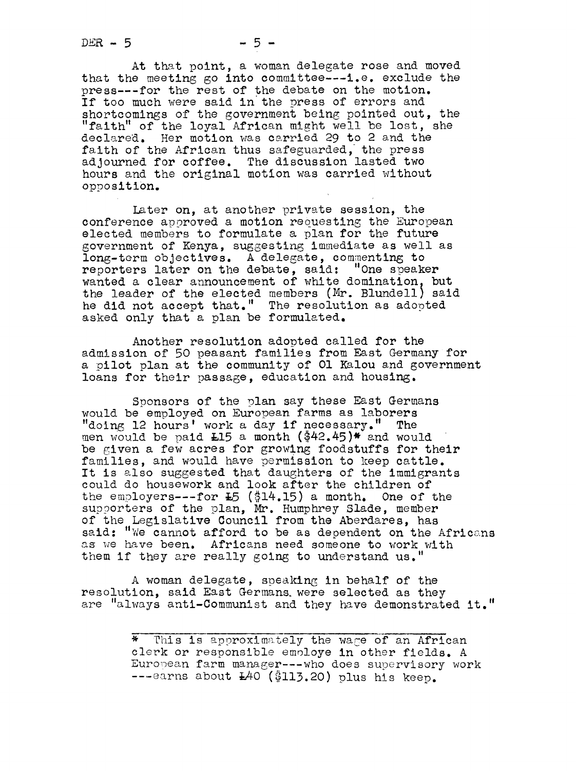$DEF - 5$ 

At that point, a woman delegate rose and moved that the meeting go into committee---i.e. exclude the press---for the rest of the debate on the motion. If too much were said in the press of errors and shortcomings of the government being pointed out, the "faith" of the loyal African might well be lost, she declared. Her motion was carried 29 to 2 and the faith of the African thus safeguarded, the press adjourned for coffee. The discussion lasted two hours and the original motion was carried without opposition.

Later on, at another private session, the conference approved a motion requesting the European elected members to formulate a plan for the future overnment of Kenya, suggesting immediate as well as long-term objectives. A delegate, commenting to reporters later on the debate, said: "One speaker wanted a clear announcement of white domination, but the leader of the elected members (Mr. Blundell) said he did not accept that." The resolution as adopted asked only that a plan be formulated.

Another resolution adopted called for the admission of 50 peasant families from East Germany' for a pilot plan at the community of 01 Kalou and government loans for their passage, education and housing.

Sponsors of the plan say these East Germans would be employed on European farms as laborers "doing 12 hours' work a day if necessary." The men would be paid  $L15$  a month (\$42.45)\* and would be given a few acres for growing foodstuffs for their families, and would have permission to keep cattle. It is also suggested that daughters of the immigrants could do housework and look after the children of the employers---for  $E_5$  (\$14.15) a month. One of the supporters of the plan, Mr. Humphrey Slade, member of the Legislative Council from the Aberdares, has said: "We cannot afford to be as dependent on the Africans as we have been. Africans need someone to work with them if they are really going to understand us."

A woman delegate, speaking, in behalf of the resolution, said East Germans were selected as they are "always anti-Communist and they have demonstrated it."

> \* This is approximately the wage of an African clerk or responsible emoloye in other fields. A European farm manager --- who does supervisory work ---earns about  $L40$  (\$113.20) plus his keep.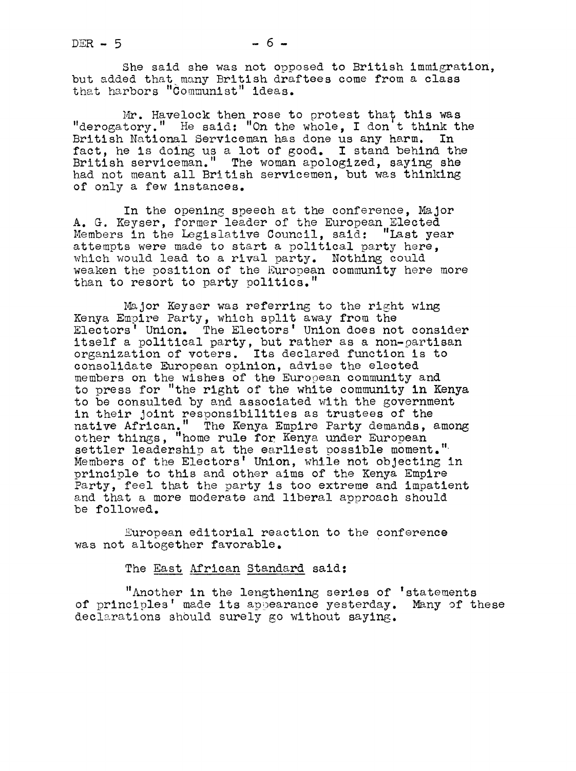She said she was not opposed to British immigration, but added that many British draftees come from a class that harbors "Communist" ideas.

Mr. Havelock then rose to protest that this was "derogatory." He said: "On the whole, I don't think the British National Serviceman has done us any harm. In British National Serviceman has done us any harm. fact, he is doing us a lot of good. I stand behind the British serviceman." The woman apologized, saying she had not meant all British servicemen, but was thinking of only a few instances.

In the opening speech at the conference, Major A. G. Keyser, former leader of the European Elected Members in the Legislative Council, said: "Last year attempts were made to start a political party here, which would lead to a rival party. Nothing could weaken the position of the European community here more than to resort to party politics."

Major Keyser was referring to the right wing Kenya Empire Party, which split away from the Electors' Union. The Electors' Union does not consider itself a political party, but rather as a non-partisan organization of voters. Its declared function is to consolidate European opinion, advise the elected members on the wishes of the European community and to press for "the right of the white community in Kenya to be consulted by and associated with the government in their Joint responsibilities as trustees of the native African." The Kenya Empire Party demands, among other things, "home rule for Kenya under European settler leadership at the earliest possible moment." Members of the Electors' Union, while not objecting in principle to this and other aims of the Kenya Empire Party, feel that the party is too extreme and impatient snd that a more moderate and liberal approach should be followed.

European editorial reaction to the conference was not altogether favorable.

## The East African Standard said:

"Another in the lengthening series of 'statements of principles' made its appearance yesterday. Many of these declarations should surely go without saying.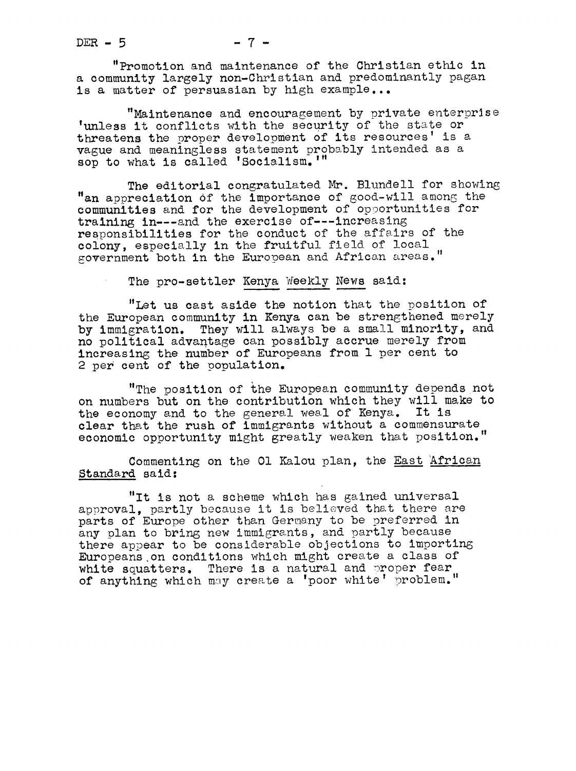"Promotion and maintenance of the Christian ethic in a community largely non-Christian and predominantly pagan is a matter of persuasian by high example...

"Maintenance and encouragement by private enterprise 'unless it conflicts with the security of the state or threatens the proper development of its resources' is a vague and meaningless statement probably intended as a sop to what is called 'Socialism.'"

The editorial congratulated Mr. Blundell for showing  $"$ an appreciation of the importance of good-will among the communities and for the development of opportunities for training in---and the exercise of---increasing responsibilities for the conduct of the affsirs of the colony, especially in the fruitful field of local government both in the European and African areas."

The pro-settler Kenya Weekly News said:

"Let us cast aside the notion that the position of the European community in Kenya can be strengthened merely by immigration. They will always be a small minority, and no political advantage can possibly accrue merely from increasing the number of Europeans from 1 per cent to 2 per cent of the population.

"The position of the European community depends not on numbers but on the contribution which they will make to the economy and to the general weal of Kenya. It is clear that the rush of immigrants without a commensurate economic opportunity might greatly weaken that position."

Commenting on the Ol Kalou plan, the East African Standard said:

"It is not a scheme which has gained universal approval, partly because it is believed that there are parts of Europe other than Gernany to be preferred in any plan to bring new immigrants, and partly because there appear to be considerable objections to importing Europeans on conditions which might create a class of white squatters. There is a natural and proper fear of anything which may create a 'poor white' problem."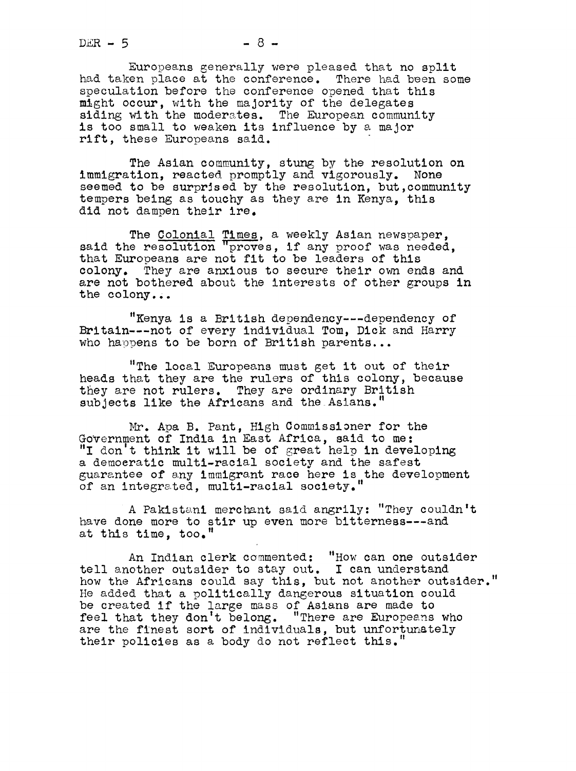$DER - 5$ 

Europeans emerally were pleased that mo split had taken place at the conference. There had been some speculation before the conference opened that this m\$ht occur, with the majority of the delegates siding with the moderates. The European community is too small to weaken its influence by a major rift, these Europeans said.

The Asian community, stung by the resolution on immigration, reacted promptly and vigorously. None seemed to be surprised by the resolution, but,community tempers being as touchy as they are in Kenya, this did not dampen their ire.

The Colonial Times, a weekly Asian newspaper, said the resolution "proves, if any proof was needed, that Europeans are not fit to be leaders of this colony. They are anxious to secure their own ends and are not bothered about the interests of other groups in the colony.,.

"Kenya is a British dependency---dependency of Britain---not of every individual Tom, Dick and Harry who happens to be born of British parents...

"The local Europeans must get it out of their heads that they are the rulers of this colony, because they are not rulers. They are ordinary British subjects like the Africans and the Asians."

. Apa B. Pant, High Commissioner for the GoVernment of India in East Africa, said to me: "I don t think it will be of great help in developing a demoeratic multl-racial society and the safest guarantee of any immigrant race here is the development of an integrated, multi-racial society."

A Pakistani merchant said angrily: "They couldn't have done more to stir up even more bitterness---and at this time, too.

An Indian clerk commented: "How can one outsider tell another outsider to stay out. I can understand how the Africans could say this, but not another outsider." He added that a politically dangerous situation could be created if the large mass of Asians are made to feel that they don't belong. "There are Europeans who are the finest sort of individuals, but unfortunately their policies as a body do not reflect this.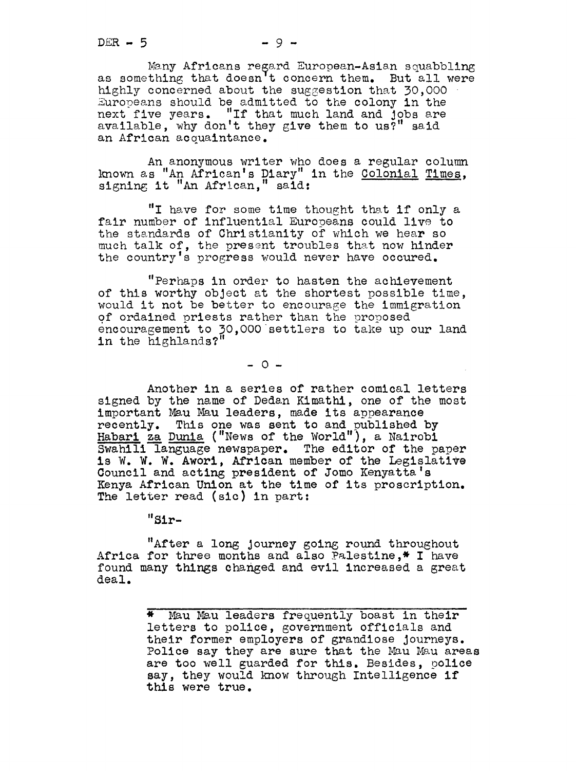Many Africans regard European-Asian squabbling as something that doesn't concern them. But all were highly concerned about the suggestion that 30,000 Europeans should be admitted to the colony in the next five years. "If that much land and Jobs available, why don't they give them to us?" said an African acquaintance.

An anonymous writer Who does a regular column known as "An African's Diary" in the Colonial Times, signing it "An African," said:

"I have for some time thought that if only a fair number of influential Europeans could live to the standards of Christianity of which we hear so much talk of, the present troubles that now hinder the country's progress would never have occured.

"Perhaps in order to hasten the achievement of this worthy object at the shortest possible time, would it not be better to encourage the immigration of ordained priests rather than the proposed encouragement to 30,000 settlers to take up our land in the highlands?"  $\,$ 

 $-0 -$ 

Another in a series of rather comical letters signed by the name of Dedan Kimathl, one of the most important Mau Mau leaders, made its appearance recently. This one was sent to and oublished by Habari za Dunia ("News of the World"), a Nairobi Swahili language newspaper. The editor of the paper is W. W. W. Awori, African member of the Legislative Council and acting president of Jomo Kenyatta's Kenya African Union at the time of its proscription. The letter read (sic} in part:

"Sir-

"After a long journey going round throughout Africa for three months and also Palestine,\* I have found many things changed and evil increased a great deal.

> \* Mau Mau leaders frequently boast in their letters to police, government officials and their former employers of grandiose Journeys. Police say they are sure that the Mau Mau areas are too well guarded for this. Besides, police say, they would know through Intelligence if this were true.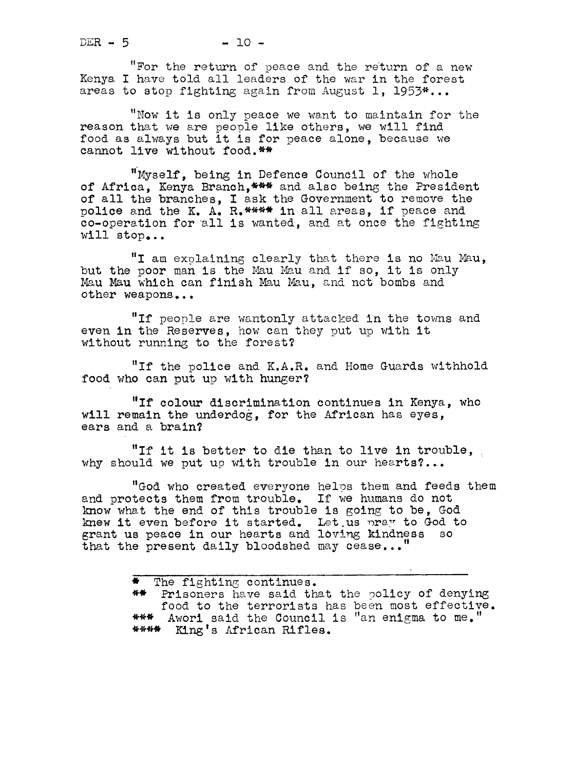"For the return of peace and the return of a new Kenya I have told all leaders of the war in the forest areas to stop fighting again from August 1, 1953\*...

"Now it is only peace we want to maintain for the reason that we are people like others, we will find food as always but it is for peace alone, because we cannot live without food.\*\*

'"Myself, being in Defence Council of the whole of Africa, Kenya Branch, \*\*\* and also being the President of all the branches, I ask the Government to remove the police and the K. A. R.\*\*\*\* in all areas, if peace and co-operation for "all is wanted, and at once the fighting will stop...

"I am explaining clearly that there is no Mau Mau,<br>but the poor man is the Mau Mau and if so, it is only<br>Mau Mau which can finish Mau Mau and not berbs and Mau Mau which can finish Mau Mau, and not bombs and other weapons...

"If people are wantonly attacked in the towns and even in the Reserves, how can they put up with it without running to the forest?

"If the police and K.A.R. and Home Guards withhold food who can put up with hunger?

"If colour discrimination Continues in Kenya, who will remain the underdog, for the African has eyes, ears and a brain?

"If it is better to die than to live in trouble, why should we put up with trouble in our hearts?...

"God who created everyone helps them and feeds them and protects them from trouble. If we humans do not know what the end of this trouble is going, to be, God knew it even before it started. Let us pray to God to grant us peace in our hearts and loving kindness so that the present daily bloodshed may cease..."

> \* The fighting continues. \*\* Prisoners have said that the policy of denying food to the terrorists has been most effective. \*\*\* Awori said the Council is "an enigma to me." \*\*\*\* King' <sup>s</sup> ffrican Rifles.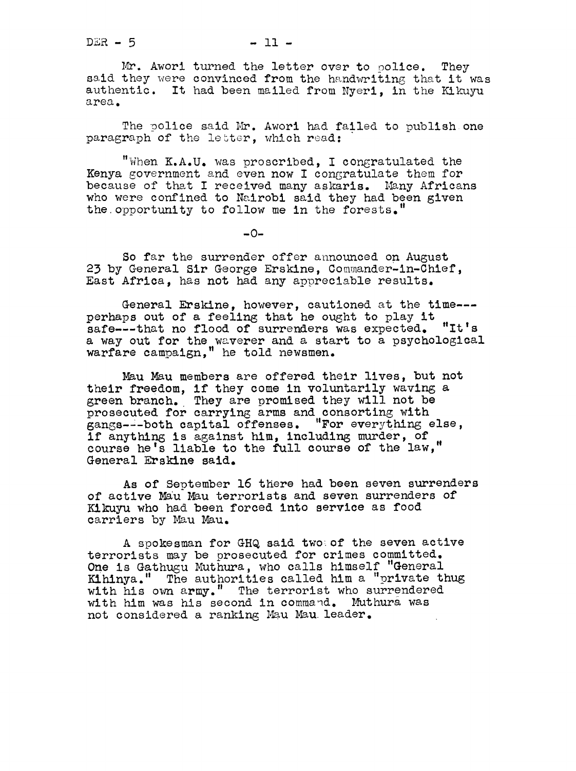Mr. Awori turned the letter over to police. They said they were convinced from the handwriting that it was authentic. It had been mailed from Nyeri, in the Kikuyu area.

The police said Mr. Awori had failed to publish one paragraph of the letter, which read:

"When K.A.U. was proscribed, I congratulated the Kenya government snd even now I congratulate them for because of that I received many askaris. Many Africans who were confined to Nairobi said they had been given the. opportunity to follow me in the forests.

 $-0-$ 

So far the surrender offer announced on August 23 by General Sir George Erskine, Commander-in-Chief, East Africa, has not had any appreciable results.

General Erskine, however, cautioned at the time-- perhaps out of a feeling that he ought to play it safe---that no flood of surrenders was expected. "It's a way out for the waverer and a start to a psychological warfare campalgn," he told newsmen.

Mau Mau members are offered their lives, but not their freedom, if they come in voluntarily waving a green branch. They are promised they will not be prosecuted for carrying arms and consorting with ans--both capital offenses. "For everything else, if anything is against him, including murder, of<br>course he's liable to the full course of the law," General Ersklne said.

As of September 16 there had been seven surrenders of active Mau Mau terrorists and seven surrenders of of active mad mad terrorists and seven surrende<br>Kikuyu who had been forced into service as food<br>carriers by Mau Mau.

A spokesman for GHQ said two. of the seven active terrorists may be prosecuted for crimes committed. One is Gathugu Muthura, who calls himself "General Kihinya." The authorities called him a "private thug with his ova army." The terrorist who surrendered with him was his second in command. Muthura was not considered a ranking Mau Mau leader.